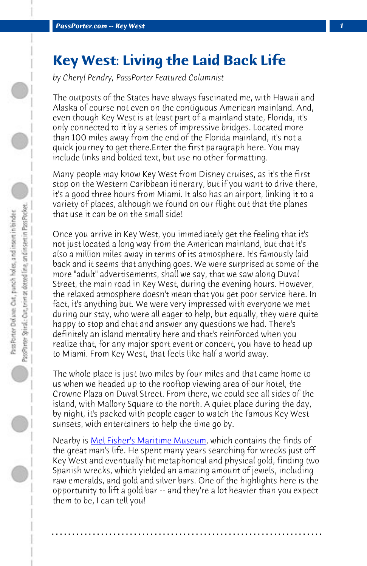**PassPorter.com -- Key West** 

## **Key West: Living the Laid Back Life**

*by Cheryl Pendry, PassPorter Featured Columnist*

The outposts of the States have always fascinated me, with Hawaii and Alaska of course not even on the contiguous American mainland. And, even though Key West is at least part of a mainland state, Florida, it's only connected to it by a series of impressive bridges. Located more than 100 miles away from the end of the Florida mainland, it's not a quick journey to get there.Enter the first paragraph here. You may include links and bolded text, but use no other formatting.

Many people may know Key West from Disney cruises, as it's the first stop on the Western Caribbean itinerary, but if you want to drive there, it's a good three hours from Miami. It also has an airport, linking it to a variety of places, although we found on our flight out that the planes that use it can be on the small side!

Once you arrive in Key West, you immediately get the feeling that it's not just located a long way from the American mainland, but that it's also a million miles away in terms of its atmosphere. It's famously laid back and it seems that anything goes. We were surprised at some of the more "adu[lt" advertisements, shall we say,](http://www.melfisher.org/) that we saw along Duval Street, the main road in Key West, during the evening hours. However, the relaxed atmosphere doesn't mean that you get poor service here. In fact, it's anything but. We were very impressed with everyone we met during our stay, who were all eager to help, but equally, they were quite happy to stop and chat and answer any questions we had. There's definitely an island mentality here and that's reinforced when you realize that, for any major sport event or concert, you have to head up to Miami. From Key West, that feels like half a world away.

The whole place is just two miles by four miles and that came home to us when we headed up to the rooftop viewing area of our hotel, the Crowne Plaza on Duval Street. From there, we could see all sides of the island, with Mallory Square to the north. A quiet place during the day, by night, it's packed with people eager to watch the famous Key West sunsets, with entertainers to help the time go by.

Nearby is Mel Fisher's Maritime Museum, which contains the finds of the great man's life. He spent many years searching for wrecks just off Key West and eventually hit metaphorical and physical gold, finding two Spanish wrecks, which yielded an amazing amount of jewels, including raw emeralds, and gold and silver bars. One of the highlights here is the opportunity to lift a gold bar -- and they're a lot heavier than you expect them to be, I can tell you!

**. . . . . . . . . . . . . . . . . . . . . . . . . . . . . . . . . . . . . . . . . . . . . . . . . . . . . . . . . . . . . . . . . .**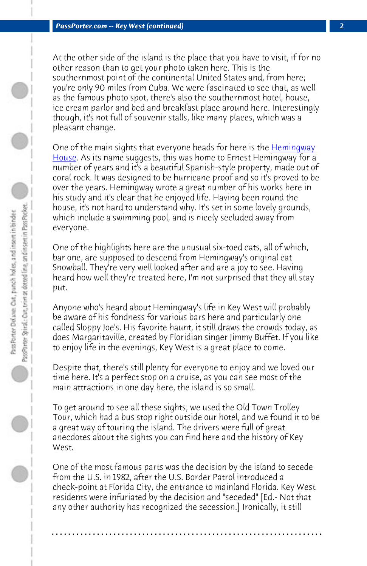*PassPorter.com -- Key West (continued) 2*

At the other side of the island is the place that you have to visit, if for no other reason than to get your photo taken here. This is the southernmost point of the continental United States and, from here; you're only 90 miles from Cuba. We were fascinated to see that, as well as the famous photo spot, there's also the southernmost hotel, house, ice cream parlor and bed and breakfast place around here. Interestingly though, it's not full of souvenir stalls, like many places, which was a pleasant change.

One of the main sights that everyone heads for here is the **Hemingway** House. As its name suggests, this was home to Ernest Hemingway for a number of years and it's a beautiful Spanish-style property, made out of coral rock. It was designed to be hurricane proof and so it's proved to be over the years. Hemingway wrote a great number of his works here in his study and it's clear that he enjoyed life. Having been round the house, it's not hard to understand why. It's set in some lovely grounds, which include a swimming pool, and is nicely secluded away from everyone.

One of the highlights here are the unusual six-toed cats, all of which, bar one, are supposed to descend from Hemingway's original cat Snowball. They're very well looked after and are a joy to see. Having heard how well they're treated here, I'm not surprised that they all stay put.

Anyone who's heard about Hemingway's life in Key West will probably be aware of his fondness for various bars here and particularly one called Sloppy Joe's. His favorite haunt, it still draws the crowds today, as does Margaritaville, created by Floridian singer Jimmy Buffet. If you like to enjoy life in the evenings, Key West is a great place to come.

Despite that, there's still plenty for everyone to enjoy and we loved our time here. It's a perfect stop on a cruise, as you can see most of the main attractions in one day here, the island is so small.

To get around to see all these sights, we used the Old Town Trolley Tour, which had a bus stop right outside our hotel, and we found it to be a great way of touring the island. The drivers were full of great anecdotes about the sights you can find here and the history of Key West.

One of the most famous parts was the decision by the island to secede from the U.S. in 1982, after the U.S. Border Patrol introduced a check-point at Florida City, the entrance to mainland Florida. Key West residents were infuriated by the decision and "seceded" [Ed.- Not that any other authority has recognized the secession.] Ironically, it still

**. . . . . . . . . . . . . . . . . . . . . . . . . . . . . . . . . . . . . . . . . . . . . . . . . . . . . . . . . . . . . . . . . .**

D